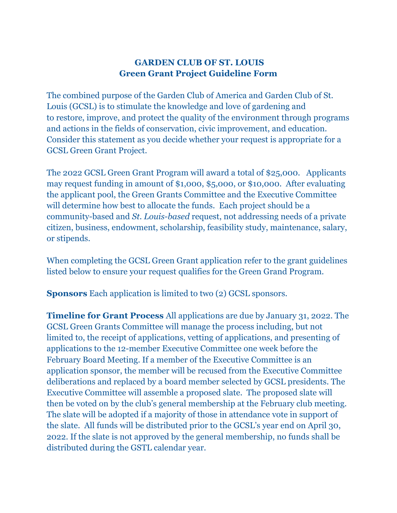## **GARDEN CLUB OF ST. LOUIS Green Grant Project Guideline Form**

The combined purpose of the Garden Club of America and Garden Club of St. Louis (GCSL) is to stimulate the knowledge and love of gardening and to restore, improve, and protect the quality of the environment through programs and actions in the fields of conservation, civic improvement, and education. Consider this statement as you decide whether your request is appropriate for a GCSL Green Grant Project.

The 2022 GCSL Green Grant Program will award a total of \$25,000. Applicants may request funding in amount of \$1,000, \$5,000, or \$10,000. After evaluating the applicant pool, the Green Grants Committee and the Executive Committee will determine how best to allocate the funds. Each project should be a community-based and *St. Louis-based* request, not addressing needs of a private citizen, business, endowment, scholarship, feasibility study, maintenance, salary, or stipends.

When completing the GCSL Green Grant application refer to the grant guidelines listed below to ensure your request qualifies for the Green Grand Program.

**Sponsors** Each application is limited to two (2) GCSL sponsors.

**Timeline for Grant Process** All applications are due by January 31, 2022. The GCSL Green Grants Committee will manage the process including, but not limited to, the receipt of applications, vetting of applications, and presenting of applications to the 12-member Executive Committee one week before the February Board Meeting. If a member of the Executive Committee is an application sponsor, the member will be recused from the Executive Committee deliberations and replaced by a board member selected by GCSL presidents. The Executive Committee will assemble a proposed slate. The proposed slate will then be voted on by the club's general membership at the February club meeting. The slate will be adopted if a majority of those in attendance vote in support of the slate. All funds will be distributed prior to the GCSL's year end on April 30, 2022. If the slate is not approved by the general membership, no funds shall be distributed during the GSTL calendar year.